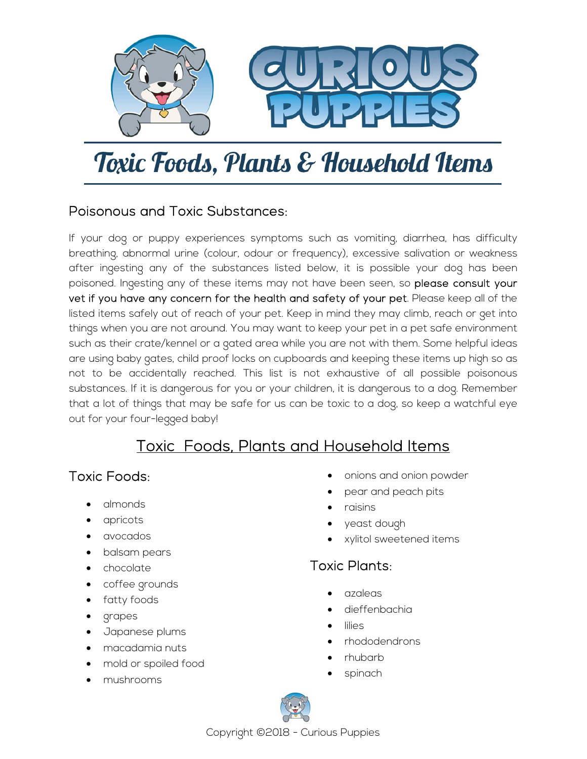

# Toxic Foods, Plants & Household Items

#### Poisonous and Toxic Substances:

If your dog or puppy experiences symptoms such as vomiting, diarrhea, has difficulty breathing, abnormal urine (colour, odour or frequency), excessive salivation or weakness after ingesting any of the substances listed below, it is possible your dog has been poisoned. Ingesting any of these items may not have been seen, so please consult your vet if you have any concern for the health and safety of your pet. Please keep all of the listed items safely out of reach of your pet. Keep in mind they may climb, reach or get into things when you are not around. You may want to keep your pet in a pet safe environment such as their crate/kennel or a gated area while you are not with them. Some helpful ideas are using baby gates, child proof locks on cupboards and keeping these items up high so as not to be accidentally reached. This list is not exhaustive of all possible poisonous substances. If it is dangerous for you or your children, it is dangerous to a dog. Remember that a lot of things that may be safe for us can be toxic to a dog, so keep a watchful eye out for your four-legged baby!

## Toxic Foods, Plants and Household Items

#### Toxic Foods:

- almonds
- apricots
- avocados
- balsam pears
- chocolate
- coffee grounds
- fatty foods
- grapes
- Japanese plums
- macadamia nuts
- mold or spoiled food
- mushrooms
- onions and onion powder
- pear and peach pits
- raisins
- yeast dough
- xylitol sweetened items

### Toxic Plants:

- azaleas
- dieffenbachia
- **lilies**
- rhododendrons
- rhubarb
- spinach